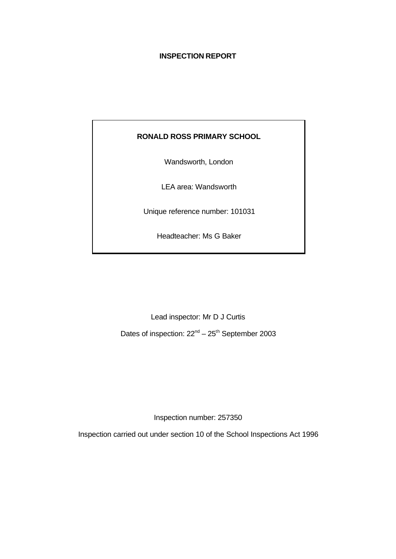## **INSPECTION REPORT**

## **RONALD ROSS PRIMARY SCHOOL**

Wandsworth, London

LEA area: Wandsworth

Unique reference number: 101031

Headteacher: Ms G Baker

Lead inspector: Mr D J Curtis

Dates of inspection:  $22^{nd} - 25^{th}$  September 2003

Inspection number: 257350

Inspection carried out under section 10 of the School Inspections Act 1996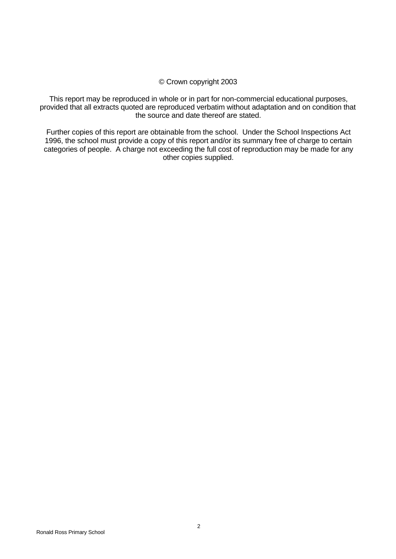#### © Crown copyright 2003

This report may be reproduced in whole or in part for non-commercial educational purposes, provided that all extracts quoted are reproduced verbatim without adaptation and on condition that the source and date thereof are stated.

Further copies of this report are obtainable from the school. Under the School Inspections Act 1996, the school must provide a copy of this report and/or its summary free of charge to certain categories of people. A charge not exceeding the full cost of reproduction may be made for any other copies supplied.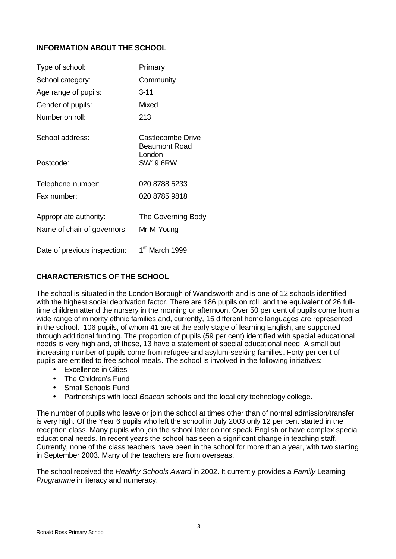## **INFORMATION ABOUT THE SCHOOL**

| Type of school:              | Primary                                   |
|------------------------------|-------------------------------------------|
| School category:             | Community                                 |
| Age range of pupils:         | $3 - 11$                                  |
| Gender of pupils:            | Mixed                                     |
| Number on roll:              | 213                                       |
| School address:              | Castlecombe Drive<br><b>Beaumont Road</b> |
| Postcode:                    | London<br><b>SW19 6RW</b>                 |
| Telephone number:            | 020 8788 5233                             |
| Fax number:                  | 020 8785 9818                             |
| Appropriate authority:       | The Governing Body                        |
| Name of chair of governors:  | Mr M Young                                |
| Date of previous inspection: | 1 <sup>st</sup> March 1999                |

## **CHARACTERISTICS OF THE SCHOOL**

The school is situated in the London Borough of Wandsworth and is one of 12 schools identified with the highest social deprivation factor. There are 186 pupils on roll, and the equivalent of 26 fulltime children attend the nursery in the morning or afternoon. Over 50 per cent of pupils come from a wide range of minority ethnic families and, currently, 15 different home languages are represented in the school. 106 pupils, of whom 41 are at the early stage of learning English, are supported through additional funding. The proportion of pupils (59 per cent) identified with special educational needs is very high and, of these, 13 have a statement of special educational need. A small but increasing number of pupils come from refugee and asylum-seeking families. Forty per cent of pupils are entitled to free school meals. The school is involved in the following initiatives:

- Excellence in Cities
- The Children's Fund
- Small Schools Fund
- Partnerships with local *Beacon* schools and the local city technology college.

The number of pupils who leave or join the school at times other than of normal admission/transfer is very high. Of the Year 6 pupils who left the school in July 2003 only 12 per cent started in the reception class. Many pupils who join the school later do not speak English or have complex special educational needs. In recent years the school has seen a significant change in teaching staff. Currently, none of the class teachers have been in the school for more than a year, with two starting in September 2003. Many of the teachers are from overseas.

The school received the *Healthy Schools Award* in 2002. It currently provides a *Family* Learning *Programme* in literacy and numeracy.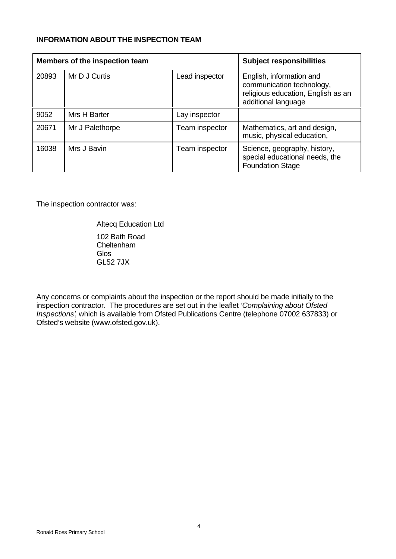### **INFORMATION ABOUT THE INSPECTION TEAM**

| Members of the inspection team |                 |                | <b>Subject responsibilities</b>                                                                                    |  |
|--------------------------------|-----------------|----------------|--------------------------------------------------------------------------------------------------------------------|--|
| 20893                          | Mr D J Curtis   | Lead inspector | English, information and<br>communication technology,<br>religious education, English as an<br>additional language |  |
| 9052                           | Mrs H Barter    | Lay inspector  |                                                                                                                    |  |
| 20671                          | Mr J Palethorpe | Team inspector | Mathematics, art and design,<br>music, physical education,                                                         |  |
| 16038                          | Mrs J Bavin     | Team inspector | Science, geography, history,<br>special educational needs, the<br><b>Foundation Stage</b>                          |  |

The inspection contractor was:

Altecq Education Ltd 102 Bath Road Cheltenham Glos GL52 7JX

Any concerns or complaints about the inspection or the report should be made initially to the inspection contractor. The procedures are set out in the leaflet *'Complaining about Ofsted Inspections'*, which is available from Ofsted Publications Centre (telephone 07002 637833) or Ofsted's website (www.ofsted.gov.uk).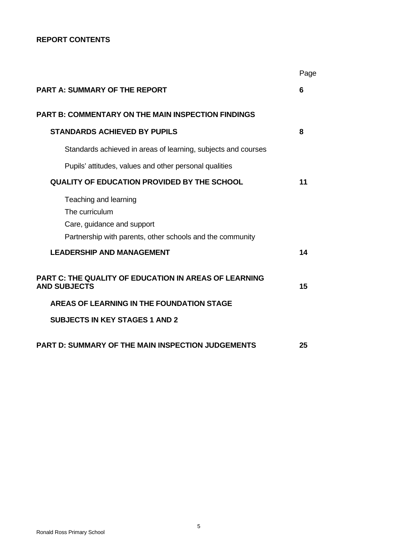## **REPORT CONTENTS**

|                                                                                                                                    | Page |
|------------------------------------------------------------------------------------------------------------------------------------|------|
| <b>PART A: SUMMARY OF THE REPORT</b>                                                                                               | 6    |
| <b>PART B: COMMENTARY ON THE MAIN INSPECTION FINDINGS</b>                                                                          |      |
| <b>STANDARDS ACHIEVED BY PUPILS</b>                                                                                                | 8    |
| Standards achieved in areas of learning, subjects and courses                                                                      |      |
| Pupils' attitudes, values and other personal qualities                                                                             |      |
| QUALITY OF EDUCATION PROVIDED BY THE SCHOOL                                                                                        | 11   |
| Teaching and learning<br>The curriculum<br>Care, guidance and support<br>Partnership with parents, other schools and the community |      |
| <b>LEADERSHIP AND MANAGEMENT</b>                                                                                                   | 14   |
| <b>PART C: THE QUALITY OF EDUCATION IN AREAS OF LEARNING</b><br><b>AND SUBJECTS</b>                                                | 15   |
| AREAS OF LEARNING IN THE FOUNDATION STAGE                                                                                          |      |
| <b>SUBJECTS IN KEY STAGES 1 AND 2</b>                                                                                              |      |
| <b>PART D: SUMMARY OF THE MAIN INSPECTION JUDGEMENTS</b>                                                                           | 25   |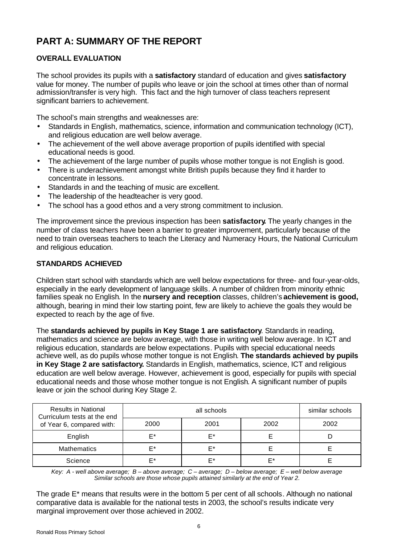# **PART A: SUMMARY OF THE REPORT**

## **OVERALL EVALUATION**

The school provides its pupils with a **satisfactory** standard of education and gives **satisfactory** value for money. The number of pupils who leave or join the school at times other than of normal admission/transfer is very high. This fact and the high turnover of class teachers represent significant barriers to achievement.

The school's main strengths and weaknesses are:

- Standards in English, mathematics, science, information and communication technology (ICT), and religious education are well below average.
- The achievement of the well above average proportion of pupils identified with special educational needs is good.
- The achievement of the large number of pupils whose mother tongue is not English is good.
- There is underachievement amongst white British pupils because they find it harder to concentrate in lessons.
- Standards in and the teaching of music are excellent.
- The leadership of the headteacher is very good.
- The school has a good ethos and a very strong commitment to inclusion.

The improvement since the previous inspection has been **satisfactory.** The yearly changes in the number of class teachers have been a barrier to greater improvement, particularly because of the need to train overseas teachers to teach the Literacy and Numeracy Hours, the National Curriculum and religious education.

## **STANDARDS ACHIEVED**

Children start school with standards which are well below expectations for three- and four-year-olds, especially in the early development of language skills. A number of children from minority ethnic families speak no English. In the **nursery and reception** classes, children's **achievement is good,** although, bearing in mind their low starting point, few are likely to achieve the goals they would be expected to reach by the age of five.

The **standards achieved by pupils in Key Stage 1 are satisfactory**. Standards in reading, mathematics and science are below average, with those in writing well below average. In ICT and religious education, standards are below expectations. Pupils with special educational needs achieve well, as do pupils whose mother tongue is not English. **The standards achieved by pupils in Key Stage 2 are satisfactory.** Standards in English, mathematics, science, ICT and religious education are well below average. However, achievement is good, especially for pupils with special educational needs and those whose mother tongue is not English. A significant number of pupils leave or join the school during Key Stage 2.

| <b>Results in National</b><br>Curriculum tests at the end |      | similar schools |      |      |
|-----------------------------------------------------------|------|-----------------|------|------|
| of Year 6, compared with:                                 | 2000 | 2001            | 2002 | 2002 |
| English                                                   | F*   | F*              |      |      |
| <b>Mathematics</b>                                        | F*   | F*              |      |      |
| Science                                                   | ⊏*   | F*              | F*   |      |

*Key: A - well above average; B – above average; C – average; D – below average; E – well below average Similar schools are those whose pupils attained similarly at the end of Year 2.*

The grade E\* means that results were in the bottom 5 per cent of all schools. Although no national comparative data is available for the national tests in 2003, the school's results indicate very marginal improvement over those achieved in 2002.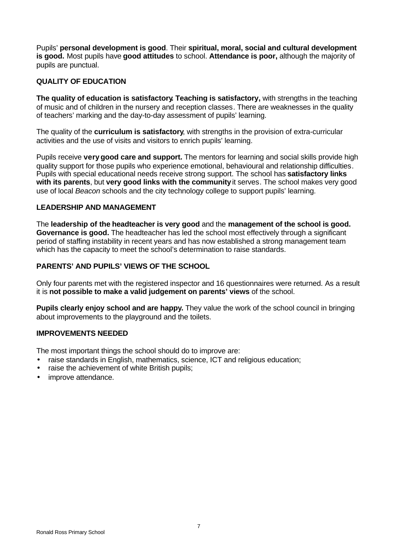Pupils' **personal development is good**. Their **spiritual, moral, social and cultural development is good.** Most pupils have **good attitudes** to school. **Attendance is poor,** although the majority of pupils are punctual.

## **QUALITY OF EDUCATION**

**The quality of education is satisfactory. Teaching is satisfactory,** with strengths in the teaching of music and of children in the nursery and reception classes. There are weaknesses in the quality of teachers' marking and the day-to-day assessment of pupils' learning.

The quality of the **curriculum is satisfactory**, with strengths in the provision of extra-curricular activities and the use of visits and visitors to enrich pupils' learning.

Pupils receive **verygood care and support.** The mentors for learning and social skills provide high quality support for those pupils who experience emotional, behavioural and relationship difficulties. Pupils with special educational needs receive strong support. The school has **satisfactory links with its parents**, but **very good links with the community** it serves. The school makes very good use of local *Beacon* schools and the city technology college to support pupils' learning.

#### **LEADERSHIP AND MANAGEMENT**

The **leadership of the headteacher is very good** and the **management of the school is good. Governance is good.** The headteacher has led the school most effectively through a significant period of staffing instability in recent years and has now established a strong management team which has the capacity to meet the school's determination to raise standards.

## **PARENTS' AND PUPILS' VIEWS OF THE SCHOOL**

Only four parents met with the registered inspector and 16 questionnaires were returned. As a result it is **not possible to make a valid judgement on parents' views** of the school.

**Pupils clearly enjoy school and are happy.** They value the work of the school council in bringing about improvements to the playground and the toilets.

#### **IMPROVEMENTS NEEDED**

The most important things the school should do to improve are:

- raise standards in English, mathematics, science, ICT and religious education;
- raise the achievement of white British pupils;
- improve attendance.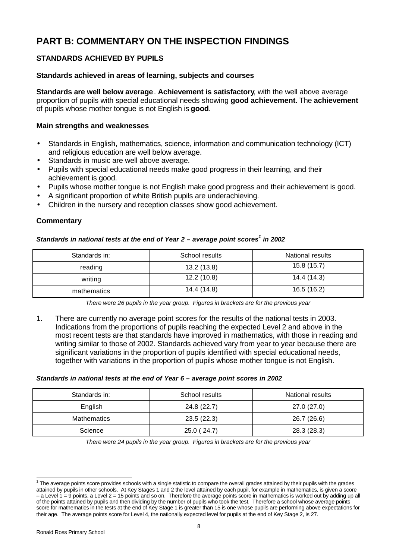# **PART B: COMMENTARY ON THE INSPECTION FINDINGS**

## **STANDARDS ACHIEVED BY PUPILS**

#### **Standards achieved in areas of learning, subjects and courses**

**Standards are well below average**. **Achievement is satisfactory**, with the well above average proportion of pupils with special educational needs showing **good achievement.** The **achievement** of pupils whose mother tongue is not English is **good**.

#### **Main strengths and weaknesses**

- Standards in English, mathematics, science, information and communication technology (ICT) and religious education are well below average.
- Standards in music are well above average.
- Pupils with special educational needs make good progress in their learning, and their achievement is good.
- Pupils whose mother tongue is not English make good progress and their achievement is good.
- A significant proportion of white British pupils are underachieving.
- Children in the nursery and reception classes show good achievement.

## **Commentary**

#### *Standards in national tests at the end of Year 2 – average point scores<sup>1</sup> in 2002*

| Standards in: | School results | National results |
|---------------|----------------|------------------|
| reading       | 13.2(13.8)     | 15.8 (15.7)      |
| writing       | 12.2(10.8)     | 14.4 (14.3)      |
| mathematics   | 14.4 (14.8)    | 16.5 (16.2)      |

*There were 26 pupils in the year group. Figures in brackets are for the previous year*

1. There are currently no average point scores for the results of the national tests in 2003. Indications from the proportions of pupils reaching the expected Level 2 and above in the most recent tests are that standards have improved in mathematics, with those in reading and writing similar to those of 2002. Standards achieved vary from year to year because there are significant variations in the proportion of pupils identified with special educational needs, together with variations in the proportion of pupils whose mother tongue is not English.

#### *Standards in national tests at the end of Year 6 – average point scores in 2002*

| Standards in: | School results | National results |
|---------------|----------------|------------------|
| English       | 24.8 (22.7)    | 27.0(27.0)       |
| Mathematics   | 23.5(22.3)     | 26.7 (26.6)      |
| Science       | 25.0 (24.7)    | 28.3 (28.3)      |

*There were 24 pupils in the year group. Figures in brackets are for the previous year*

 1 The average points score provides schools with a single statistic to compare the overall grades attained by their pupils with the grades attained by pupils in other schools. At Key Stages 1 and 2 the level attained by each pupil, for example in mathematics, is given a score – a Level 1 = 9 points, a Level 2 = 15 points and so on. Therefore the average points score in mathematics is worked out by adding up all of the points attained by pupils and then dividing by the number of pupils who took the test. Therefore a school whose average points score for mathematics in the tests at the end of Key Stage 1 is greater than 15 is one whose pupils are performing above expectations for their age. The average points score for Level 4, the nationally expected level for pupils at the end of Key Stage 2, is 27.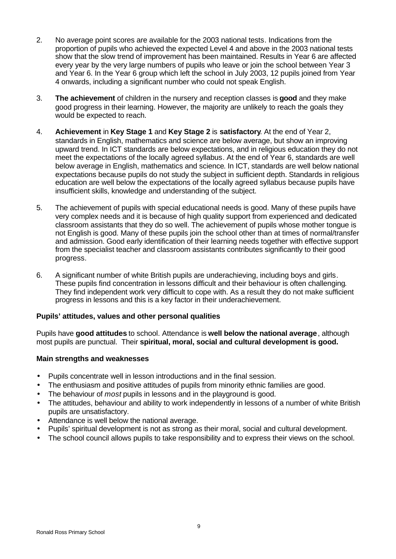- 2. No average point scores are available for the 2003 national tests. Indications from the proportion of pupils who achieved the expected Level 4 and above in the 2003 national tests show that the slow trend of improvement has been maintained. Results in Year 6 are affected every year by the very large numbers of pupils who leave or join the school between Year 3 and Year 6. In the Year 6 group which left the school in July 2003, 12 pupils joined from Year 4 onwards, including a significant number who could not speak English.
- 3. **The achievement** of children in the nursery and reception classes is **good** and they make good progress in their learning. However, the majority are unlikely to reach the goals they would be expected to reach.
- 4. **Achievement** in **Key Stage 1** and **Key Stage 2** is **satisfactory**. At the end of Year 2, standards in English, mathematics and science are below average, but show an improving upward trend. In ICT standards are below expectations, and in religious education they do not meet the expectations of the locally agreed syllabus. At the end of Year 6, standards are well below average in English, mathematics and science. In ICT, standards are well below national expectations because pupils do not study the subject in sufficient depth. Standards in religious education are well below the expectations of the locally agreed syllabus because pupils have insufficient skills, knowledge and understanding of the subject.
- 5. The achievement of pupils with special educational needs is good. Many of these pupils have very complex needs and it is because of high quality support from experienced and dedicated classroom assistants that they do so well. The achievement of pupils whose mother tongue is not English is good. Many of these pupils join the school other than at times of normal/transfer and admission. Good early identification of their learning needs together with effective support from the specialist teacher and classroom assistants contributes significantly to their good progress.
- 6. A significant number of white British pupils are underachieving, including boys and girls. These pupils find concentration in lessons difficult and their behaviour is often challenging. They find independent work very difficult to cope with. As a result they do not make sufficient progress in lessons and this is a key factor in their underachievement.

#### **Pupils' attitudes, values and other personal qualities**

Pupils have **good attitudes** to school. Attendance is **well below the national average**, although most pupils are punctual. Their **spiritual, moral, social and cultural development is good.**

- Pupils concentrate well in lesson introductions and in the final session.
- The enthusiasm and positive attitudes of pupils from minority ethnic families are good.
- The behaviour of *most* pupils in lessons and in the playground is good.
- The attitudes, behaviour and ability to work independently in lessons of a number of white British pupils are unsatisfactory.
- Attendance is well below the national average.
- Pupils' spiritual development is not as strong as their moral, social and cultural development.
- The school council allows pupils to take responsibility and to express their views on the school.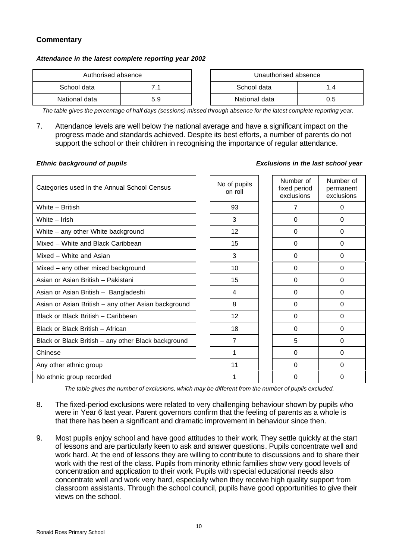## **Commentary**

#### *Attendance in the latest complete reporting year 2002*

| Authorised absence |     |  | Unauthorised absence |     |
|--------------------|-----|--|----------------------|-----|
| School data        | 71  |  | School data          | 1.4 |
| National data      | 5.9 |  | National data        | 0.5 |

| Authorised absence |     | Unauthorised absence |     |
|--------------------|-----|----------------------|-----|
| data               |     | School data          | 14  |
| data               | 5.9 | National data        | 0.5 |

*The table gives the percentage of half days (sessions) missed through absence for the latest complete reporting year.*

7. Attendance levels are well below the national average and have a significant impact on the progress made and standards achieved. Despite its best efforts, a number of parents do not support the school or their children in recognising the importance of regular attendance.

#### *Ethnic background of pupils Exclusions in the last school year*

| Categories used in the Annual School Census         | No of pupils<br>on roll | Number of<br>fixed period<br>exclusions | Number of<br>permanent<br>exclusions |
|-----------------------------------------------------|-------------------------|-----------------------------------------|--------------------------------------|
| White - British                                     | 93                      | 7                                       | 0                                    |
| White - Irish                                       | 3                       | $\Omega$                                | 0                                    |
| White - any other White background                  | 12 <sup>2</sup>         | $\Omega$                                | $\Omega$                             |
| Mixed - White and Black Caribbean                   | 15                      | $\Omega$                                | 0                                    |
| Mixed - White and Asian                             | 3                       | $\Omega$                                | $\Omega$                             |
| Mixed - any other mixed background                  | 10                      | $\Omega$                                | $\Omega$                             |
| Asian or Asian British - Pakistani                  | 15                      | 0                                       | 0                                    |
| Asian or Asian British - Bangladeshi                | 4                       | $\Omega$                                | $\Omega$                             |
| Asian or Asian British - any other Asian background | 8                       | $\Omega$                                | $\Omega$                             |
| Black or Black British - Caribbean                  | 12                      | $\Omega$                                | $\Omega$                             |
| Black or Black British - African                    | 18                      | $\Omega$                                | $\Omega$                             |
| Black or Black British - any other Black background | 7                       | 5                                       | $\Omega$                             |
| Chinese                                             | 1                       | 0                                       | 0                                    |
| Any other ethnic group                              | 11                      | $\Omega$                                | $\Omega$                             |
| No ethnic group recorded                            | 1                       | 0                                       | 0                                    |

*The table gives the number of exclusions, which may be different from the number of pupils excluded.*

- 8. The fixed-period exclusions were related to very challenging behaviour shown by pupils who were in Year 6 last year. Parent governors confirm that the feeling of parents as a whole is that there has been a significant and dramatic improvement in behaviour since then.
- 9. Most pupils enjoy school and have good attitudes to their work. They settle quickly at the start of lessons and are particularly keen to ask and answer questions. Pupils concentrate well and work hard. At the end of lessons they are willing to contribute to discussions and to share their work with the rest of the class. Pupils from minority ethnic families show very good levels of concentration and application to their work. Pupils with special educational needs also concentrate well and work very hard, especially when they receive high quality support from classroom assistants. Through the school council, pupils have good opportunities to give their views on the school.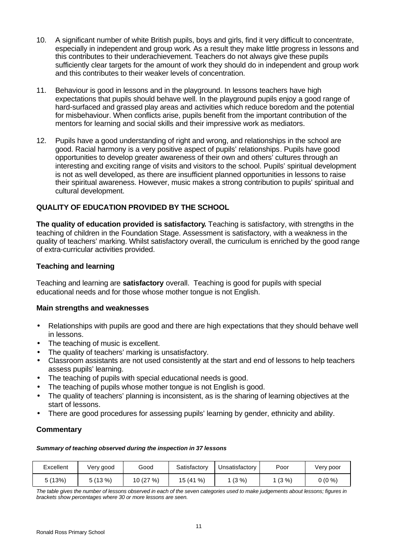- 10. A significant number of white British pupils, boys and girls, find it very difficult to concentrate, especially in independent and group work. As a result they make little progress in lessons and this contributes to their underachievement. Teachers do not always give these pupils sufficiently clear targets for the amount of work they should do in independent and group work and this contributes to their weaker levels of concentration.
- 11. Behaviour is good in lessons and in the playground. In lessons teachers have high expectations that pupils should behave well. In the playground pupils enjoy a good range of hard-surfaced and grassed play areas and activities which reduce boredom and the potential for misbehaviour. When conflicts arise, pupils benefit from the important contribution of the mentors for learning and social skills and their impressive work as mediators.
- 12. Pupils have a good understanding of right and wrong, and relationships in the school are good. Racial harmony is a very positive aspect of pupils' relationships. Pupils have good opportunities to develop greater awareness of their own and others' cultures through an interesting and exciting range of visits and visitors to the school. Pupils' spiritual development is not as well developed, as there are insufficient planned opportunities in lessons to raise their spiritual awareness. However, music makes a strong contribution to pupils' spiritual and cultural development.

## **QUALITY OF EDUCATION PROVIDED BY THE SCHOOL**

**The quality of education provided is satisfactory.** Teaching is satisfactory, with strengths in the teaching of children in the Foundation Stage. Assessment is satisfactory, with a weakness in the quality of teachers' marking. Whilst satisfactory overall, the curriculum is enriched by the good range of extra-curricular activities provided.

## **Teaching and learning**

Teaching and learning are **satisfactory** overall. Teaching is good for pupils with special educational needs and for those whose mother tongue is not English.

#### **Main strengths and weaknesses**

- Relationships with pupils are good and there are high expectations that they should behave well in lessons.
- The teaching of music is excellent.
- The quality of teachers' marking is unsatisfactory.
- Classroom assistants are not used consistently at the start and end of lessons to help teachers assess pupils' learning.
- The teaching of pupils with special educational needs is good.
- The teaching of pupils whose mother tongue is not English is good.
- The quality of teachers' planning is inconsistent, as is the sharing of learning objectives at the start of lessons.
- There are good procedures for assessing pupils' learning by gender, ethnicity and ability.

## **Commentary**

*Summary of teaching observed during the inspection in 37 lessons*

| Excellent | Very good | Good    | Satisfactory | Unsatisfactory | Poor     | Very poor |
|-----------|-----------|---------|--------------|----------------|----------|-----------|
| 5 (13%)   | (13%)     | 10(27%) | %<br>15 (41  | $(3\% )$       | $(3\% )$ | $0(0\%)$  |

*The table gives the number of lessons observed in each of the seven categories used to make judgements about lessons; figures in brackets show percentages where 30 or more lessons are seen.*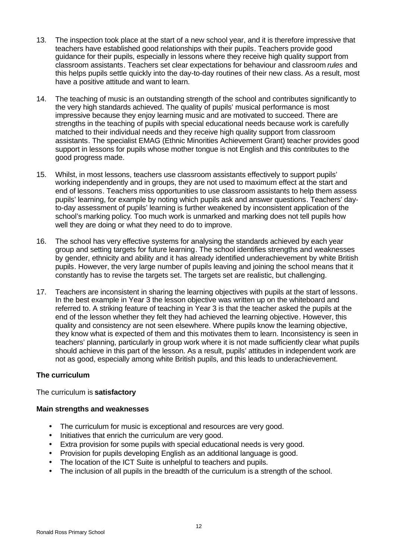- 13. The inspection took place at the start of a new school year, and it is therefore impressive that teachers have established good relationships with their pupils. Teachers provide good guidance for their pupils, especially in lessons where they receive high quality support from classroom assistants. Teachers set clear expectations for behaviour and classroom *rules* and this helps pupils settle quickly into the day-to-day routines of their new class. As a result, most have a positive attitude and want to learn.
- 14. The teaching of music is an outstanding strength of the school and contributes significantly to the very high standards achieved. The quality of pupils' musical performance is most impressive because they enjoy learning music and are motivated to succeed. There are strengths in the teaching of pupils with special educational needs because work is carefully matched to their individual needs and they receive high quality support from classroom assistants. The specialist EMAG (Ethnic Minorities Achievement Grant) teacher provides good support in lessons for pupils whose mother tongue is not English and this contributes to the good progress made.
- 15. Whilst, in most lessons, teachers use classroom assistants effectively to support pupils' working independently and in groups, they are not used to maximum effect at the start and end of lessons. Teachers miss opportunities to use classroom assistants to help them assess pupils' learning, for example by noting which pupils ask and answer questions. Teachers' dayto-day assessment of pupils' learning is further weakened by inconsistent application of the school's marking policy. Too much work is unmarked and marking does not tell pupils how well they are doing or what they need to do to improve.
- 16. The school has very effective systems for analysing the standards achieved by each year group and setting targets for future learning. The school identifies strengths and weaknesses by gender, ethnicity and ability and it has already identified underachievement by white British pupils. However, the very large number of pupils leaving and joining the school means that it constantly has to revise the targets set. The targets set are realistic, but challenging.
- 17. Teachers are inconsistent in sharing the learning objectives with pupils at the start of lessons. In the best example in Year 3 the lesson objective was written up on the whiteboard and referred to. A striking feature of teaching in Year 3 is that the teacher asked the pupils at the end of the lesson whether they felt they had achieved the learning objective. However, this quality and consistency are not seen elsewhere. Where pupils know the learning objective, they know what is expected of them and this motivates them to learn. Inconsistency is seen in teachers' planning, particularly in group work where it is not made sufficiently clear what pupils should achieve in this part of the lesson. As a result, pupils' attitudes in independent work are not as good, especially among white British pupils, and this leads to underachievement.

#### **The curriculum**

The curriculum is **satisfactory**

- The curriculum for music is exceptional and resources are very good.
- Initiatives that enrich the curriculum are very good.
- Extra provision for some pupils with special educational needs is very good.
- Provision for pupils developing English as an additional language is good.
- The location of the ICT Suite is unhelpful to teachers and pupils.
- The inclusion of all pupils in the breadth of the curriculum is a strength of the school.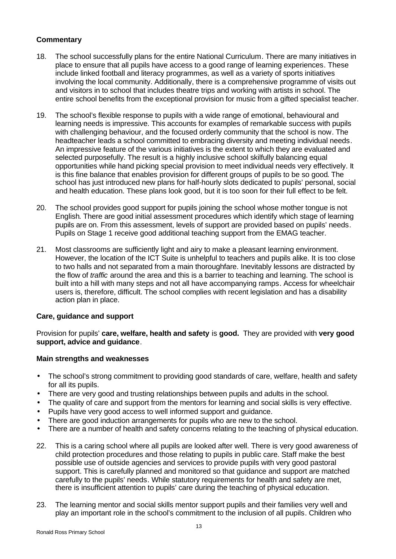## **Commentary**

- 18. The school successfully plans for the entire National Curriculum. There are many initiatives in place to ensure that all pupils have access to a good range of learning experiences. These include linked football and literacy programmes, as well as a variety of sports initiatives involving the local community. Additionally, there is a comprehensive programme of visits out and visitors in to school that includes theatre trips and working with artists in school. The entire school benefits from the exceptional provision for music from a gifted specialist teacher.
- 19. The school's flexible response to pupils with a wide range of emotional, behavioural and learning needs is impressive. This accounts for examples of remarkable success with pupils with challenging behaviour, and the focused orderly community that the school is now. The headteacher leads a school committed to embracing diversity and meeting individual needs. An impressive feature of the various initiatives is the extent to which they are evaluated and selected purposefully. The result is a highly inclusive school skilfully balancing equal opportunities while hand picking special provision to meet individual needs very effectively. It is this fine balance that enables provision for different groups of pupils to be so good. The school has just introduced new plans for half-hourly slots dedicated to pupils' personal, social and health education. These plans look good, but it is too soon for their full effect to be felt.
- 20. The school provides good support for pupils joining the school whose mother tongue is not English. There are good initial assessment procedures which identify which stage of learning pupils are on. From this assessment, levels of support are provided based on pupils' needs. Pupils on Stage 1 receive good additional teaching support from the EMAG teacher.
- 21. Most classrooms are sufficiently light and airy to make a pleasant learning environment. However, the location of the ICT Suite is unhelpful to teachers and pupils alike. It is too close to two halls and not separated from a main thoroughfare. Inevitably lessons are distracted by the flow of *traffic* around the area and this is a barrier to teaching and learning. The school is built into a hill with many steps and not all have accompanying ramps. Access for wheelchair users is, therefore, difficult. The school complies with recent legislation and has a disability action plan in place.

#### **Care, guidance and support**

Provision for pupils' **care, welfare, health and safety** is **good.** They are provided with **very good support, advice and guidance**.

- The school's strong commitment to providing good standards of care, welfare, health and safety for all its pupils.
- There are very good and trusting relationships between pupils and adults in the school.
- The quality of care and support from the mentors for learning and social skills is very effective.
- Pupils have very good access to well informed support and guidance.
- There are good induction arrangements for pupils who are new to the school.
- There are a number of health and safety concerns relating to the teaching of physical education.
- 22. This is a caring school where all pupils are looked after well. There is very good awareness of child protection procedures and those relating to pupils in public care. Staff make the best possible use of outside agencies and services to provide pupils with very good pastoral support. This is carefully planned and monitored so that guidance and support are matched carefully to the pupils' needs. While statutory requirements for health and safety are met, there is insufficient attention to pupils' care during the teaching of physical education.
- 23. The learning mentor and social skills mentor support pupils and their families very well and play an important role in the school's commitment to the inclusion of all pupils. Children who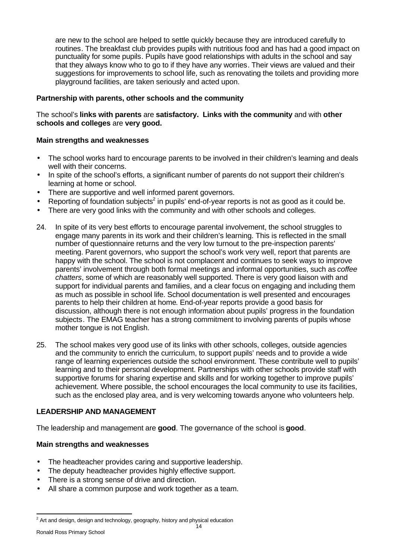are new to the school are helped to settle quickly because they are introduced carefully to routines. The breakfast club provides pupils with nutritious food and has had a good impact on punctuality for some pupils. Pupils have good relationships with adults in the school and say that they always know who to go to if they have any worries. Their views are valued and their suggestions for improvements to school life, such as renovating the toilets and providing more playground facilities, are taken seriously and acted upon.

## **Partnership with parents, other schools and the community**

The school's **links with parents** are **satisfactory. Links with the community** and with **other schools and colleges** are **very good.**

#### **Main strengths and weaknesses**

- The school works hard to encourage parents to be involved in their children's learning and deals well with their concerns.
- In spite of the school's efforts, a significant number of parents do not support their children's learning at home or school.
- There are supportive and well informed parent governors.
- Reporting of foundation subjects<sup>2</sup> in pupils' end-of-year reports is not as good as it could be.
- There are very good links with the community and with other schools and colleges.
- 24. In spite of its very best efforts to encourage parental involvement, the school struggles to engage many parents in its work and their children's learning. This is reflected in the small number of questionnaire returns and the very low turnout to the pre-inspection parents' meeting. Parent governors, who support the school's work very well, report that parents are happy with the school. The school is not complacent and continues to seek ways to improve parents' involvement through both formal meetings and informal opportunities, such as *coffee chatters*, some of which are reasonably well supported. There is very good liaison with and support for individual parents and families, and a clear focus on engaging and including them as much as possible in school life. School documentation is well presented and encourages parents to help their children at home. End-of-year reports provide a good basis for discussion, although there is not enough information about pupils' progress in the foundation subjects. The EMAG teacher has a strong commitment to involving parents of pupils whose mother tongue is not English.
- 25. The school makes very good use of its links with other schools, colleges, outside agencies and the community to enrich the curriculum, to support pupils' needs and to provide a wide range of learning experiences outside the school environment. These contribute well to pupils' learning and to their personal development. Partnerships with other schools provide staff with supportive forums for sharing expertise and skills and for working together to improve pupils' achievement. Where possible, the school encourages the local community to use its facilities, such as the enclosed play area, and is very welcoming towards anyone who volunteers help.

## **LEADERSHIP AND MANAGEMENT**

The leadership and management are **good**. The governance of the school is **good**.

- The headteacher provides caring and supportive leadership.
- The deputy headteacher provides highly effective support.
- There is a strong sense of drive and direction.
- All share a common purpose and work together as a team.

l  $^2$  Art and design, design and technology, geography, history and physical education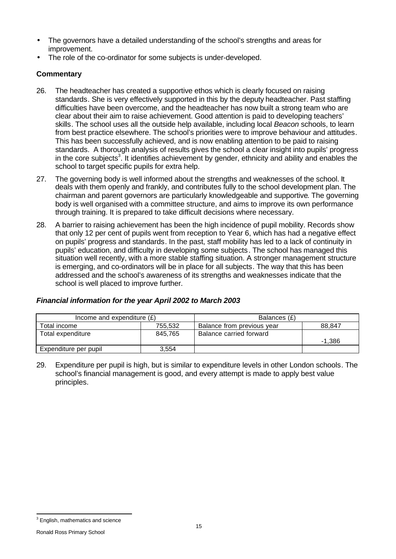- The governors have a detailed understanding of the school's strengths and areas for improvement.
- The role of the co-ordinator for some subjects is under-developed.

## **Commentary**

- 26. The headteacher has created a supportive ethos which is clearly focused on raising standards. She is very effectively supported in this by the deputy headteacher. Past staffing difficulties have been overcome, and the headteacher has now built a strong team who are clear about their aim to raise achievement. Good attention is paid to developing teachers' skills. The school uses all the outside help available, including local *Beacon* schools, to learn from best practice elsewhere. The school's priorities were to improve behaviour and attitudes. This has been successfully achieved, and is now enabling attention to be paid to raising standards. A thorough analysis of results gives the school a clear insight into pupils' progress in the core subjects<sup>3</sup>. It identifies achievement by gender, ethnicity and ability and enables the school to target specific pupils for extra help.
- 27. The governing body is well informed about the strengths and weaknesses of the school. It deals with them openly and frankly, and contributes fully to the school development plan. The chairman and parent governors are particularly knowledgeable and supportive. The governing body is well organised with a committee structure, and aims to improve its own performance through training. It is prepared to take difficult decisions where necessary.
- 28. A barrier to raising achievement has been the high incidence of pupil mobility. Records show that only 12 per cent of pupils went from reception to Year 6, which has had a negative effect on pupils' progress and standards. In the past, staff mobility has led to a lack of continuity in pupils' education, and difficulty in developing some subjects. The school has managed this situation well recently, with a more stable staffing situation. A stronger management structure is emerging, and co-ordinators will be in place for all subjects. The way that this has been addressed and the school's awareness of its strengths and weaknesses indicate that the school is well placed to improve further.

## *Financial information for the year April 2002 to March 2003*

| Income and expenditure $(E)$ |         | Balances (£)               |          |  |
|------------------------------|---------|----------------------------|----------|--|
| Total income                 | 755.532 | Balance from previous year | 88.847   |  |
| Total expenditure            | 845.765 | Balance carried forward    | $-1.386$ |  |
| Expenditure per pupil        | 3.554   |                            |          |  |

29. Expenditure per pupil is high, but is similar to expenditure levels in other London schools. The school's financial management is good, and every attempt is made to apply best value principles.

l  $3$  English, mathematics and science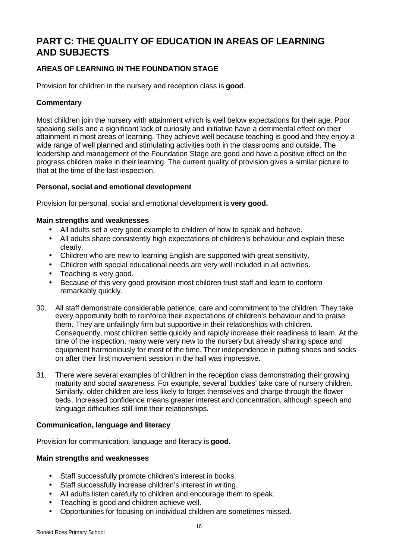# **PART C: THE QUALITY OF EDUCATION IN AREAS OF LEARNING AND SUBJECTS**

## **AREAS OF LEARNING IN THE FOUNDATION STAGE**

Provision for children in the nursery and reception class is **good**.

## **Commentary**

Most children join the nursery with attainment which is well below expectations for their age. Poor speaking skills and a significant lack of curiosity and initiative have a detrimental effect on their attainment in most areas of learning. They achieve well because teaching is good and they enjoy a wide range of well planned and stimulating activities both in the classrooms and outside. The leadership and management of the Foundation Stage are good and have a positive effect on the progress children make in their learning. The current quality of provision gives a similar picture to that at the time of the last inspection.

#### **Personal, social and emotional development**

Provision for personal, social and emotional development is **very good.**

#### **Main strengths and weaknesses**

- All adults set a very good example to children of how to speak and behave.
- All adults share consistently high expectations of children's behaviour and explain these clearly.
- Children who are new to learning English are supported with great sensitivity.
- Children with special educational needs are very well included in all activities.
- Teaching is very good.
- Because of this very good provision most children trust staff and learn to conform remarkably quickly.
- 30. All staff demonstrate considerable patience, care and commitment to the children. They take every opportunity both to reinforce their expectations of children's behaviour and to praise them. They are unfailingly firm but supportive in their relationships with children. Consequently, most children settle quickly and rapidly increase their readiness to learn. At the time of the inspection, many were very new to the nursery but already sharing space and equipment harmoniously for most of the time. Their independence in putting shoes and socks on after their first movement session in the hall was impressive.
- 31. There were several examples of children in the reception class demonstrating their growing maturity and social awareness. For example, several 'buddies' take care of nursery children. Similarly, older children are less likely to forget themselves and charge through the flower beds. Increased confidence means greater interest and concentration, although speech and language difficulties still limit their relationships.

#### **Communication, language and literacy**

Provision for communication, language and literacy is **good.**

- Staff successfully promote children's interest in books.
- Staff successfully increase children's interest in writing.
- All adults listen carefully to children and encourage them to speak.
- Teaching is good and children achieve well.
- Opportunities for focusing on individual children are sometimes missed.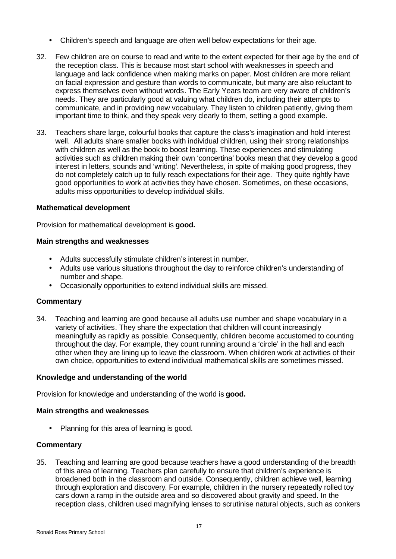- Children's speech and language are often well below expectations for their age.
- 32. Few children are on course to read and write to the extent expected for their age by the end of the reception class. This is because most start school with weaknesses in speech and language and lack confidence when making marks on paper. Most children are more reliant on facial expression and gesture than words to communicate, but many are also reluctant to express themselves even without words. The Early Years team are very aware of children's needs. They are particularly good at valuing what children do, including their attempts to communicate, and in providing new vocabulary. They listen to children patiently, giving them important time to think, and they speak very clearly to them, setting a good example.
- 33. Teachers share large, colourful books that capture the class's imagination and hold interest well. All adults share smaller books with individual children, using their strong relationships with children as well as the book to boost learning. These experiences and stimulating activities such as children making their own 'concertina' books mean that they develop a good interest in letters, sounds and 'writing'. Nevertheless, in spite of making good progress, they do not completely catch up to fully reach expectations for their age. They quite rightly have good opportunities to work at activities they have chosen. Sometimes, on these occasions, adults miss opportunities to develop individual skills.

#### **Mathematical development**

Provision for mathematical development is **good.**

#### **Main strengths and weaknesses**

- Adults successfully stimulate children's interest in number.
- Adults use various situations throughout the day to reinforce children's understanding of number and shape.
- Occasionally opportunities to extend individual skills are missed.

#### **Commentary**

34. Teaching and learning are good because all adults use number and shape vocabulary in a variety of activities. They share the expectation that children will count increasingly meaningfully as rapidly as possible. Consequently, children become accustomed to counting throughout the day. For example, they count running around a 'circle' in the hall and each other when they are lining up to leave the classroom. When children work at activities of their own choice, opportunities to extend individual mathematical skills are sometimes missed.

#### **Knowledge and understanding of the world**

Provision for knowledge and understanding of the world is **good.**

#### **Main strengths and weaknesses**

• Planning for this area of learning is good.

#### **Commentary**

35. Teaching and learning are good because teachers have a good understanding of the breadth of this area of learning. Teachers plan carefully to ensure that children's experience is broadened both in the classroom and outside. Consequently, children achieve well, learning through exploration and discovery. For example, children in the nursery repeatedly rolled toy cars down a ramp in the outside area and so discovered about gravity and speed. In the reception class, children used magnifying lenses to scrutinise natural objects, such as conkers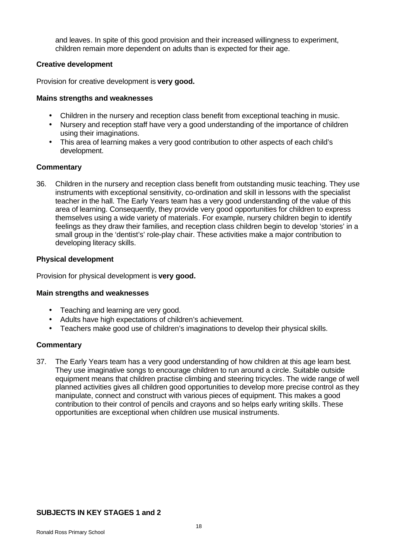and leaves. In spite of this good provision and their increased willingness to experiment, children remain more dependent on adults than is expected for their age.

#### **Creative development**

Provision for creative development is **very good.**

## **Mains strengths and weaknesses**

- Children in the nursery and reception class benefit from exceptional teaching in music.
- Nursery and reception staff have very a good understanding of the importance of children using their imaginations.
- This area of learning makes a very good contribution to other aspects of each child's development.

## **Commentary**

36. Children in the nursery and reception class benefit from outstanding music teaching. They use instruments with exceptional sensitivity, co-ordination and skill in lessons with the specialist teacher in the hall. The Early Years team has a very good understanding of the value of this area of learning. Consequently, they provide very good opportunities for children to express themselves using a wide variety of materials. For example, nursery children begin to identify feelings as they draw their families, and reception class children begin to develop 'stories' in a small group in the 'dentist's' role-play chair. These activities make a major contribution to developing literacy skills.

## **Physical development**

Provision for physical development is **very good.**

#### **Main strengths and weaknesses**

- Teaching and learning are very good.
- Adults have high expectations of children's achievement.
- Teachers make good use of children's imaginations to develop their physical skills.

## **Commentary**

37. The Early Years team has a very good understanding of how children at this age learn best. They use imaginative songs to encourage children to run around a circle. Suitable outside equipment means that children practise climbing and steering tricycles. The wide range of well planned activities gives all children good opportunities to develop more precise control as they manipulate, connect and construct with various pieces of equipment. This makes a good contribution to their control of pencils and crayons and so helps early writing skills. These opportunities are exceptional when children use musical instruments.

## **SUBJECTS IN KEY STAGES 1 and 2**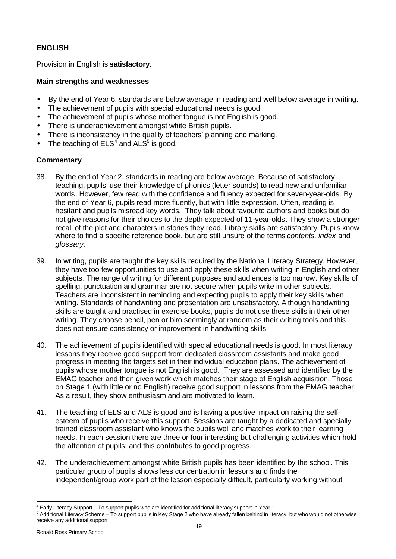## **ENGLISH**

Provision in English is **satisfactory.**

## **Main strengths and weaknesses**

- By the end of Year 6, standards are below average in reading and well below average in writing.
- The achievement of pupils with special educational needs is good.
- The achievement of pupils whose mother tongue is not English is good.
- There is underachievement amongst white British pupils.
- There is inconsistency in the quality of teachers' planning and marking.
- The teaching of  $ELS<sup>4</sup>$  and  $ALS<sup>5</sup>$  is good.

- 38. By the end of Year 2, standards in reading are below average. Because of satisfactory teaching, pupils' use their knowledge of phonics (letter sounds) to read new and unfamiliar words. However, few read with the confidence and fluency expected for seven-year-olds. By the end of Year 6, pupils read more fluently, but with little expression. Often, reading is hesitant and pupils misread key words. They talk about favourite authors and books but do not give reasons for their choices to the depth expected of 11-year-olds. They show a stronger recall of the plot and characters in stories they read. Library skills are satisfactory. Pupils know where to find a specific reference book, but are still unsure of the terms *contents, index* and *glossary.*
- 39. In writing, pupils are taught the key skills required by the National Literacy Strategy. However, they have too few opportunities to use and apply these skills when writing in English and other subjects. The range of writing for different purposes and audiences is too narrow. Key skills of spelling, punctuation and grammar are not secure when pupils write in other subjects. Teachers are inconsistent in reminding and expecting pupils to apply their key skills when writing. Standards of handwriting and presentation are unsatisfactory. Although handwriting skills are taught and practised in exercise books, pupils do not use these skills in their other writing. They choose pencil, pen or biro seemingly at random as their writing tools and this does not ensure consistency or improvement in handwriting skills.
- 40. The achievement of pupils identified with special educational needs is good. In most literacy lessons they receive good support from dedicated classroom assistants and make good progress in meeting the targets set in their individual education plans. The achievement of pupils whose mother tongue is not English is good. They are assessed and identified by the EMAG teacher and then given work which matches their stage of English acquisition. Those on Stage 1 (with little or no English) receive good support in lessons from the EMAG teacher. As a result, they show enthusiasm and are motivated to learn.
- 41. The teaching of ELS and ALS is good and is having a positive impact on raising the selfesteem of pupils who receive this support. Sessions are taught by a dedicated and specially trained classroom assistant who knows the pupils well and matches work to their learning needs. In each session there are three or four interesting but challenging activities which hold the attention of pupils, and this contributes to good progress.
- 42. The underachievement amongst white British pupils has been identified by the school. This particular group of pupils shows less concentration in lessons and finds the independent/group work part of the lesson especially difficult, particularly working without

 4 Early Literacy Support – To support pupils who are identified for additional literacy support in Year 1

<sup>&</sup>lt;sup>5</sup> Additional Literacy Scheme – To support pupils in Key Stage 2 who have already fallen behind in literacy, but who would not otherwise receive any additional support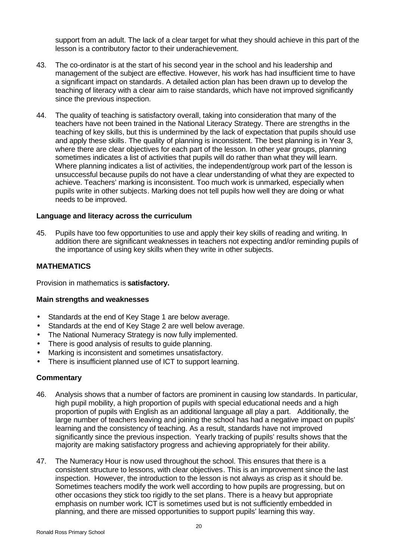support from an adult. The lack of a clear target for what they should achieve in this part of the lesson is a contributory factor to their underachievement.

- 43. The co-ordinator is at the start of his second year in the school and his leadership and management of the subject are effective. However, his work has had insufficient time to have a significant impact on standards. A detailed action plan has been drawn up to develop the teaching of literacy with a clear aim to raise standards, which have not improved significantly since the previous inspection.
- 44. The quality of teaching is satisfactory overall, taking into consideration that many of the teachers have not been trained in the National Literacy Strategy. There are strengths in the teaching of key skills, but this is undermined by the lack of expectation that pupils should use and apply these skills. The quality of planning is inconsistent. The best planning is in Year 3, where there are clear objectives for each part of the lesson. In other year groups, planning sometimes indicates a list of activities that pupils will do rather than what they will learn. Where planning indicates a list of activities, the independent/group work part of the lesson is unsuccessful because pupils do not have a clear understanding of what they are expected to achieve. Teachers' marking is inconsistent. Too much work is unmarked, especially when pupils write in other subjects. Marking does not tell pupils how well they are doing or what needs to be improved.

#### **Language and literacy across the curriculum**

45. Pupils have too few opportunities to use and apply their key skills of reading and writing. In addition there are significant weaknesses in teachers not expecting and/or reminding pupils of the importance of using key skills when they write in other subjects.

#### **MATHEMATICS**

Provision in mathematics is **satisfactory.**

#### **Main strengths and weaknesses**

- Standards at the end of Key Stage 1 are below average.
- Standards at the end of Key Stage 2 are well below average.
- The National Numeracy Strategy is now fully implemented.
- There is good analysis of results to guide planning.
- Marking is inconsistent and sometimes unsatisfactory.
- There is insufficient planned use of ICT to support learning.

- 46. Analysis shows that a number of factors are prominent in causing low standards. In particular, high pupil mobility, a high proportion of pupils with special educational needs and a high proportion of pupils with English as an additional language all play a part. Additionally, the large number of teachers leaving and joining the school has had a negative impact on pupils' learning and the consistency of teaching. As a result, standards have not improved significantly since the previous inspection. Yearly tracking of pupils' results shows that the majority are making satisfactory progress and achieving appropriately for their ability.
- 47. The Numeracy Hour is now used throughout the school. This ensures that there is a consistent structure to lessons, with clear objectives. This is an improvement since the last inspection. However, the introduction to the lesson is not always as crisp as it should be. Sometimes teachers modify the work well according to how pupils are progressing, but on other occasions they stick too rigidly to the set plans. There is a heavy but appropriate emphasis on number work. ICT is sometimes used but is not sufficiently embedded in planning, and there are missed opportunities to support pupils' learning this way.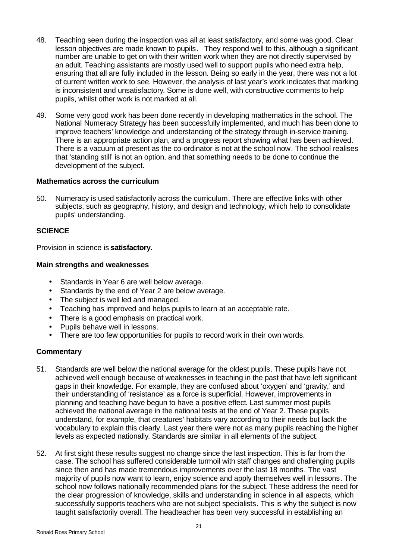- 48. Teaching seen during the inspection was all at least satisfactory, and some was good. Clear lesson objectives are made known to pupils. They respond well to this, although a significant number are unable to get on with their written work when they are not directly supervised by an adult. Teaching assistants are mostly used well to support pupils who need extra help, ensuring that all are fully included in the lesson. Being so early in the year, there was not a lot of current written work to see. However, the analysis of last year's work indicates that marking is inconsistent and unsatisfactory. Some is done well, with constructive comments to help pupils, whilst other work is not marked at all.
- 49. Some very good work has been done recently in developing mathematics in the school. The National Numeracy Strategy has been successfully implemented, and much has been done to improve teachers' knowledge and understanding of the strategy through in-service training. There is an appropriate action plan, and a progress report showing what has been achieved. There is a vacuum at present as the co-ordinator is not at the school now. The school realises that 'standing still' is not an option, and that something needs to be done to continue the development of the subject.

#### **Mathematics across the curriculum**

50. Numeracy is used satisfactorily across the curriculum. There are effective links with other subjects, such as geography, history, and design and technology, which help to consolidate pupils' understanding.

#### **SCIENCE**

Provision in science is **satisfactory.**

#### **Main strengths and weaknesses**

- Standards in Year 6 are well below average.
- Standards by the end of Year 2 are below average.
- The subject is well led and managed.
- Teaching has improved and helps pupils to learn at an acceptable rate.
- There is a good emphasis on practical work.
- Pupils behave well in lessons.
- There are too few opportunities for pupils to record work in their own words.

- 51. Standards are well below the national average for the oldest pupils. These pupils have not achieved well enough because of weaknesses in teaching in the past that have left significant gaps in their knowledge. For example, they are confused about 'oxygen' and 'gravity,' and their understanding of 'resistance' as a force is superficial. However, improvements in planning and teaching have begun to have a positive effect. Last summer most pupils achieved the national average in the national tests at the end of Year 2. These pupils understand, for example, that creatures' habitats vary according to their needs but lack the vocabulary to explain this clearly. Last year there were not as many pupils reaching the higher levels as expected nationally. Standards are similar in all elements of the subject.
- 52. At first sight these results suggest no change since the last inspection. This is far from the case. The school has suffered considerable turmoil with staff changes and challenging pupils since then and has made tremendous improvements over the last 18 months. The vast majority of pupils now want to learn, enjoy science and apply themselves well in lessons. The school now follows nationally recommended plans for the subject. These address the need for the clear progression of knowledge, skills and understanding in science in all aspects, which successfully supports teachers who are not subject specialists. This is why the subject is now taught satisfactorily overall. The headteacher has been very successful in establishing an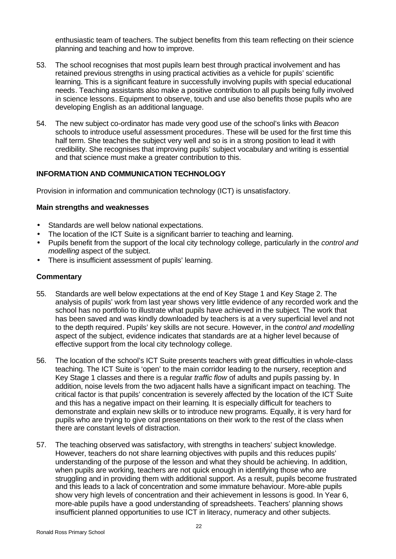enthusiastic team of teachers. The subject benefits from this team reflecting on their science planning and teaching and how to improve.

- 53. The school recognises that most pupils learn best through practical involvement and has retained previous strengths in using practical activities as a vehicle for pupils' scientific learning. This is a significant feature in successfully involving pupils with special educational needs. Teaching assistants also make a positive contribution to all pupils being fully involved in science lessons. Equipment to observe, touch and use also benefits those pupils who are developing English as an additional language.
- 54. The new subject co-ordinator has made very good use of the school's links with *Beacon* schools to introduce useful assessment procedures. These will be used for the first time this half term. She teaches the subject very well and so is in a strong position to lead it with credibility. She recognises that improving pupils' subject vocabulary and writing is essential and that science must make a greater contribution to this.

## **INFORMATION AND COMMUNICATION TECHNOLOGY**

Provision in information and communication technology (ICT) is unsatisfactory.

#### **Main strengths and weaknesses**

- Standards are well below national expectations.
- The location of the ICT Suite is a significant barrier to teaching and learning.
- Pupils benefit from the support of the local city technology college, particularly in the *control and modelling* aspect of the subject.
- There is insufficient assessment of pupils' learning.

- 55. Standards are well below expectations at the end of Key Stage 1 and Key Stage 2. The analysis of pupils' work from last year shows very little evidence of any recorded work and the school has no portfolio to illustrate what pupils have achieved in the subject. The work that has been saved and was kindly downloaded by teachers is at a very superficial level and not to the depth required. Pupils' key skills are not secure. However, in the *control and modelling* aspect of the subject, evidence indicates that standards are at a higher level because of effective support from the local city technology college.
- 56. The location of the school's ICT Suite presents teachers with great difficulties in whole-class teaching. The ICT Suite is 'open' to the main corridor leading to the nursery, reception and Key Stage 1 classes and there is a regular *traffic flow* of adults and pupils passing by. In addition, noise levels from the two adjacent halls have a significant impact on teaching. The critical factor is that pupils' concentration is severely affected by the location of the ICT Suite and this has a negative impact on their learning. It is especially difficult for teachers to demonstrate and explain new skills or to introduce new programs. Equally, it is very hard for pupils who are trying to give oral presentations on their work to the rest of the class when there are constant levels of distraction.
- 57. The teaching observed was satisfactory, with strengths in teachers' subject knowledge. However, teachers do not share learning objectives with pupils and this reduces pupils' understanding of the purpose of the lesson and what they should be achieving. In addition, when pupils are working, teachers are not quick enough in identifying those who are struggling and in providing them with additional support. As a result, pupils become frustrated and this leads to a lack of concentration and some immature behaviour. More-able pupils show very high levels of concentration and their achievement in lessons is good. In Year 6, more-able pupils have a good understanding of spreadsheets. Teachers' planning shows insufficient planned opportunities to use ICT in literacy, numeracy and other subjects.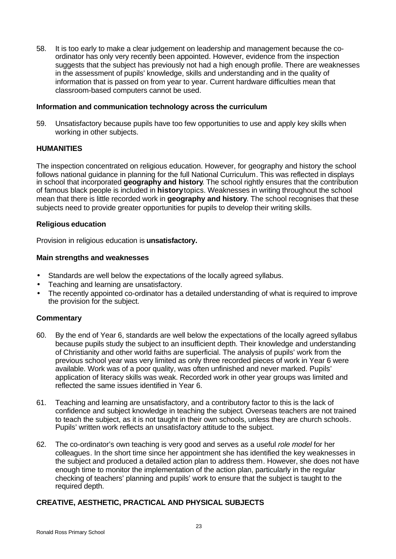58. It is too early to make a clear judgement on leadership and management because the coordinator has only very recently been appointed. However, evidence from the inspection suggests that the subject has previously not had a high enough profile. There are weaknesses in the assessment of pupils' knowledge, skills and understanding and in the quality of information that is passed on from year to year. Current hardware difficulties mean that classroom-based computers cannot be used.

#### **Information and communication technology across the curriculum**

59. Unsatisfactory because pupils have too few opportunities to use and apply key skills when working in other subjects.

#### **HUMANITIES**

The inspection concentrated on religious education. However, for geography and history the school follows national guidance in planning for the full National Curriculum. This was reflected in displays in school that incorporated **geography and history**. The school rightly ensures that the contribution of famous black people is included in **history** topics. Weaknesses in writing throughout the school mean that there is little recorded work in **geography and history**. The school recognises that these subjects need to provide greater opportunities for pupils to develop their writing skills.

#### **Religious education**

Provision in religious education is **unsatisfactory.**

#### **Main strengths and weaknesses**

- Standards are well below the expectations of the locally agreed syllabus.
- Teaching and learning are unsatisfactory.
- The recently appointed co-ordinator has a detailed understanding of what is required to improve the provision for the subject.

#### **Commentary**

- 60. By the end of Year 6, standards are well below the expectations of the locally agreed syllabus because pupils study the subject to an insufficient depth. Their knowledge and understanding of Christianity and other world faiths are superficial. The analysis of pupils' work from the previous school year was very limited as only three recorded pieces of work in Year 6 were available. Work was of a poor quality, was often unfinished and never marked. Pupils' application of literacy skills was weak. Recorded work in other year groups was limited and reflected the same issues identified in Year 6.
- 61. Teaching and learning are unsatisfactory, and a contributory factor to this is the lack of confidence and subject knowledge in teaching the subject. Overseas teachers are not trained to teach the subject, as it is not taught in their own schools, unless they are church schools. Pupils' written work reflects an unsatisfactory attitude to the subject.
- 62. The co-ordinator's own teaching is very good and serves as a useful *role model* for her colleagues. In the short time since her appointment she has identified the key weaknesses in the subject and produced a detailed action plan to address them. However, she does not have enough time to monitor the implementation of the action plan, particularly in the regular checking of teachers' planning and pupils' work to ensure that the subject is taught to the required depth.

#### **CREATIVE, AESTHETIC, PRACTICAL AND PHYSICAL SUBJECTS**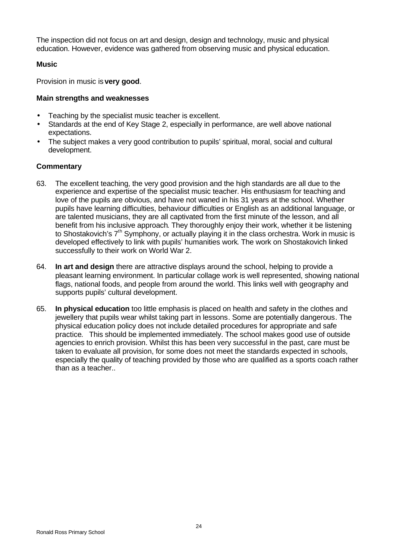The inspection did not focus on art and design, design and technology, music and physical education. However, evidence was gathered from observing music and physical education.

## **Music**

Provision in music is **very good**.

## **Main strengths and weaknesses**

- Teaching by the specialist music teacher is excellent.
- Standards at the end of Key Stage 2, especially in performance, are well above national expectations.
- The subject makes a very good contribution to pupils' spiritual, moral, social and cultural development.

- 63. The excellent teaching, the very good provision and the high standards are all due to the experience and expertise of the specialist music teacher. His enthusiasm for teaching and love of the pupils are obvious, and have not waned in his 31 years at the school. Whether pupils have learning difficulties, behaviour difficulties or English as an additional language, or are talented musicians, they are all captivated from the first minute of the lesson, and all benefit from his inclusive approach. They thoroughly enjoy their work, whether it be listening to Shostakovich's 7<sup>th</sup> Symphony, or actually playing it in the class orchestra. Work in music is developed effectively to link with pupils' humanities work. The work on Shostakovich linked successfully to their work on World War 2.
- 64. **In art and design** there are attractive displays around the school, helping to provide a pleasant learning environment. In particular collage work is well represented, showing national flags, national foods, and people from around the world. This links well with geography and supports pupils' cultural development.
- 65. **In physical education** too little emphasis is placed on health and safety in the clothes and jewellery that pupils wear whilst taking part in lessons. Some are potentially dangerous. The physical education policy does not include detailed procedures for appropriate and safe practice. This should be implemented immediately. The school makes good use of outside agencies to enrich provision. Whilst this has been very successful in the past, care must be taken to evaluate all provision, for some does not meet the standards expected in schools, especially the quality of teaching provided by those who are qualified as a sports coach rather than as a teacher..